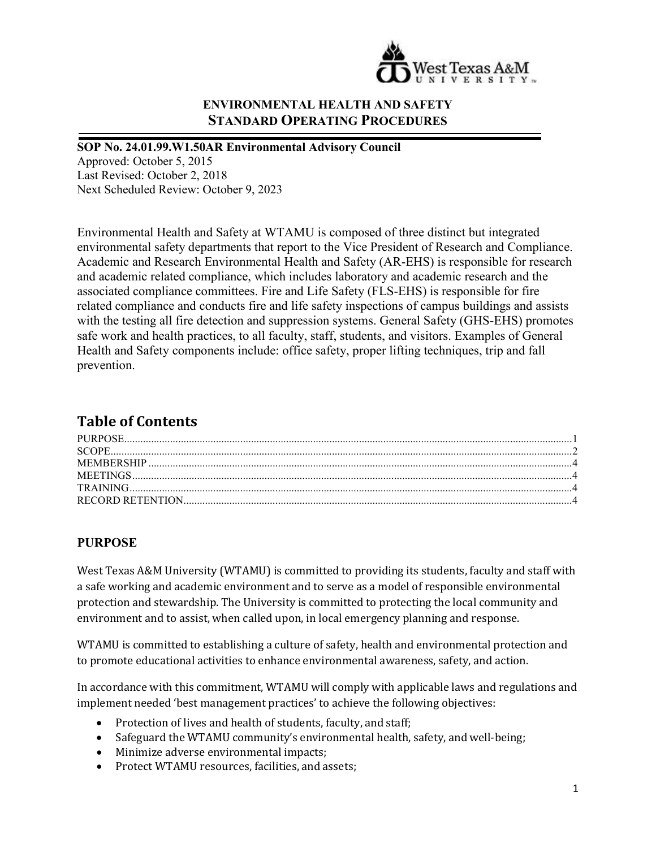

# **ENVIRONMENTAL HEALTH AND SAFETY STANDARD OPERATING PROCEDURES**

#### **SOP No. 24.01.99.W1.50AR Environmental Advisory Council**

Approved: October 5, 2015 Last Revised: October 2, 2018 Next Scheduled Review: October 9, 2023

Environmental Health and Safety at WTAMU is composed of three distinct but integrated environmental safety departments that report to the Vice President of Research and Compliance. Academic and Research Environmental Health and Safety (AR-EHS) is responsible for research and academic related compliance, which includes laboratory and academic research and the associated compliance committees. Fire and Life Safety (FLS-EHS) is responsible for fire related compliance and conducts fire and life safety inspections of campus buildings and assists with the testing all fire detection and suppression systems. General Safety (GHS-EHS) promotes safe work and health practices, to all faculty, staff, students, and visitors. Examples of General Health and Safety components include: office safety, proper lifting techniques, trip and fall prevention.

# **Table of Contents**

#### <span id="page-0-0"></span>**PURPOSE**

West Texas A&M University (WTAMU) is committed to providing its students, faculty and staff with a safe working and academic environment and to serve as a model of responsible environmental protection and stewardship. The University is committed to protecting the local community and environment and to assist, when called upon, in local emergency planning and response.

WTAMU is committed to establishing a culture of safety, health and environmental protection and to promote educational activities to enhance environmental awareness, safety, and action.

In accordance with this commitment, WTAMU will comply with applicable laws and regulations and implement needed 'best management practices' to achieve the following objectives:

- Protection of lives and health of students, faculty, and staff;
- Safeguard the WTAMU community's environmental health, safety, and well-being;
- Minimize adverse environmental impacts;
- Protect WTAMU resources, facilities, and assets;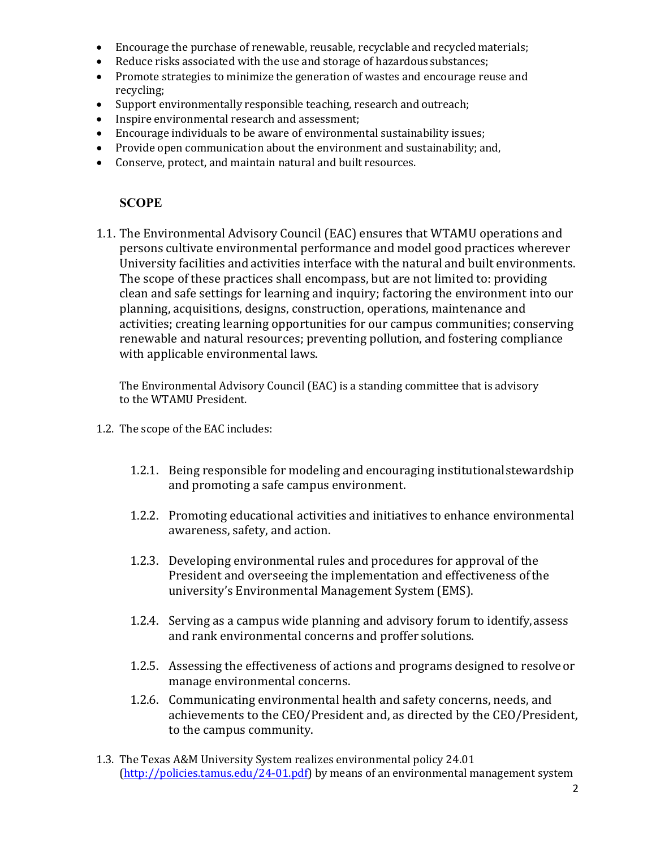- Encourage the purchase of renewable, reusable, recyclable and recycled materials;
- Reduce risks associated with the use and storage of hazardous substances;
- Promote strategies to minimize the generation of wastes and encourage reuse and recycling;
- Support environmentally responsible teaching, research and outreach;
- Inspire environmental research and assessment;
- Encourage individuals to be aware of environmental sustainability issues;
- Provide open communication about the environment and sustainability; and,<br>• Conserve, protect, and maintain natural and built resources.
- <span id="page-1-0"></span>• Conserve, protect, and maintain natural and built resources.

#### **SCOPE**

1.1. The Environmental Advisory Council (EAC) ensures that WTAMU operations and persons cultivate environmental performance and model good practices wherever University facilities and activities interface with the natural and built environments. The scope of these practices shall encompass, but are not limited to: providing clean and safe settings for learning and inquiry; factoring the environment into our planning, acquisitions, designs, construction, operations, maintenance and activities; creating learning opportunities for our campus communities; conserving renewable and natural resources; preventing pollution, and fostering compliance with applicable environmental laws.

The Environmental Advisory Council (EAC) is a standing committee that is advisory to the WTAMU President.

- 1.2. The scope of the EAC includes:
	- 1.2.1. Being responsible for modeling and encouraging institutionalstewardship and promoting a safe campus environment.
	- 1.2.2. Promoting educational activities and initiatives to enhance environmental awareness, safety, and action.
	- 1.2.3. Developing environmental rules and procedures for approval of the President and overseeing the implementation and effectiveness ofthe university's Environmental Management System (EMS).
	- 1.2.4. Serving as a campus wide planning and advisory forum to identify,assess and rank environmental concerns and proffer solutions.
	- 1.2.5. Assessing the effectiveness of actions and programs designed to resolveor manage environmental concerns.
	- 1.2.6. Communicating environmental health and safety concerns, needs, and achievements to the CEO/President and, as directed by the CEO/President, to the campus community.
- 1.3. The Texas A&M University System realizes environmental policy 24.01 [\(http://policies.tamus.edu/24-01.pdf\)](http://policies.tamus.edu/24-01.pdf) by means of an environmental management system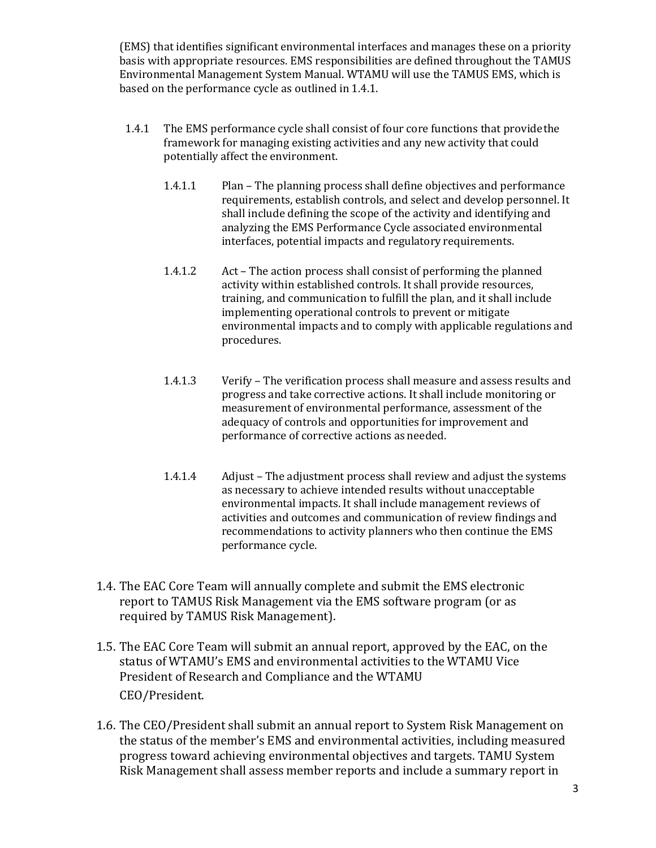(EMS) that identifies significant environmental interfaces and manages these on a priority basis with appropriate resources. EMS responsibilities are defined throughout the TAMUS Environmental Management System Manual. WTAMU will use the TAMUS EMS, which is based on the performance cycle as outlined in 1.4.1.

- 1.4.1 The EMS performance cycle shall consist of four core functions that providethe framework for managing existing activities and any new activity that could potentially affect the environment.
	- 1.4.1.1 Plan The planning process shall define objectives and performance requirements, establish controls, and select and develop personnel. It shall include defining the scope of the activity and identifying and analyzing the EMS Performance Cycle associated environmental interfaces, potential impacts and regulatory requirements.
	- 1.4.1.2 Act The action process shall consist of performing the planned activity within established controls. It shall provide resources, training, and communication to fulfill the plan, and it shall include implementing operational controls to prevent or mitigate environmental impacts and to comply with applicable regulations and procedures.
	- 1.4.1.3 Verify The verification process shall measure and assess results and progress and take corrective actions. It shall include monitoring or measurement of environmental performance, assessment of the adequacy of controls and opportunities for improvement and performance of corrective actions as needed.
	- 1.4.1.4 Adjust The adjustment process shall review and adjust the systems as necessary to achieve intended results without unacceptable environmental impacts. It shall include management reviews of activities and outcomes and communication of review findings and recommendations to activity planners who then continue the EMS performance cycle.
- 1.4. The EAC Core Team will annually complete and submit the EMS electronic report to TAMUS Risk Management via the EMS software program (or as required by TAMUS Risk Management).
- 1.5. The EAC Core Team will submit an annual report, approved by the EAC, on the status of WTAMU's EMS and environmental activities to the WTAMU Vice President of Research and Compliance and the WTAMU CEO/President.
- 1.6. The CEO/President shall submit an annual report to System Risk Management on the status of the member's EMS and environmental activities, including measured progress toward achieving environmental objectives and targets. TAMU System Risk Management shall assess member reports and include a summary report in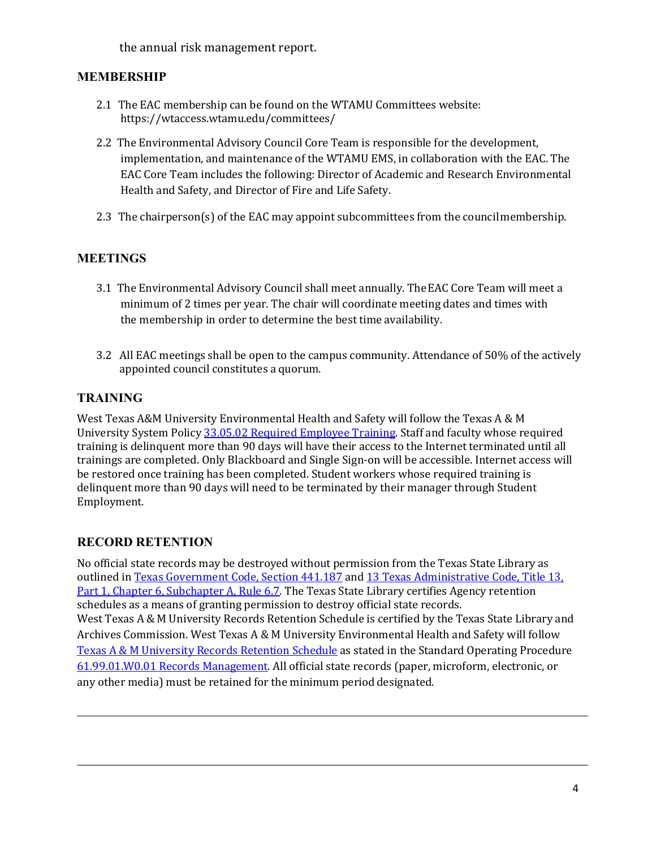the annual risk management report.

### <span id="page-3-0"></span>**MEMBERSHIP**

- 2.1 The EAC membership can be found on the WTAMU Committees website: https://wtaccess.wtamu.edu/committees/
- 2.2 The Environmental Advisory Council Core Team is responsible for the development, implementation, and maintenance of the WTAMU EMS, in collaboration with the EAC. The EAC Core Team includes the following: Director of Academic and Research Environmental Health and Safety, and Director of Fire and Life Safety.
- 2.3 The chairperson(s) of the EAC may appoint subcommittees from the councilmembership.

#### <span id="page-3-1"></span>**MEETINGS**

- 3.1 The Environmental Advisory Council shall meet annually. TheEAC Core Team will meet a minimum of 2 times per year. The chair will coordinate meeting dates and times with the membership in order to determine the best time availability.
- 3.2 All EAC meetings shall be open to the campus community. Attendance of 50% of the actively appointed council constitutes a quorum.

## <span id="page-3-2"></span>**TRAINING**

West Texas A&M University Environmental Health and Safety will follow the Texas A & M University System Polic[y 33.05.02 Required Employee Training.](http://policies.tamus.edu/33-05-02.pdf) Staff and faculty whose required training is delinquent more than 90 days will have their access to the Internet terminated until all trainings are completed. Only Blackboard and Single Sign-on will be accessible. Internet access will be restored once training has been completed. Student workers whose required training is delinquent more than 90 days will need to be terminated by their manager through Student Employment.

#### <span id="page-3-3"></span>**RECORD RETENTION**

No official state records may be destroyed without permission from the Texas State Library as outlined i[n Texas Government Code, Section 441.187](http://www.statutes.legis.state.tx.us/?link=GV) and [13 Texas Administrative Code, Title 13,](http://info.sos.state.tx.us/pls/pub/readtac%24ext.TacPage?sl=R&app=9&p_dir&p_rloc&p_tloc&p_ploc&pg=1&p_tac&ti=13&pt=1&ch=6&rl=7U) [Part 1, Chapter 6, Subchapter A, Rule 6.7. T](http://info.sos.state.tx.us/pls/pub/readtac%24ext.TacPage?sl=R&app=9&p_dir&p_rloc&p_tloc&p_ploc&pg=1&p_tac&ti=13&pt=1&ch=6&rl=7U)he Texas State Library certifies Agency retention schedules as a means of granting permission to destroy official state records. West Texas A & M University Records Retention Schedule is certified by the Texas State Library and Archives Commission. West Texas A & M University Environmental Health and Safety will follow [Texas A & M University Records Retention Schedule](http://www.wtamu.edu/webres/File/Risk%20Management/System-Records-Retention-Schedule-Dec2012.pdf) as stated in the Standard Operating Procedure [61.99.01.W0.01 Records Management.](http://www.wtamu.edu/webres/File/Risk%20Management/61.99.01.W0.01_PROCEDURE_Records%20Management_FINAL%20SIGNED.pdf) All official state records (paper, microform, electronic, or any other media) must be retained for the minimum period designated.